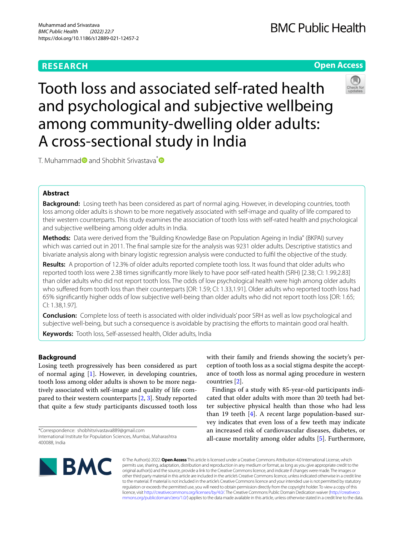# **RESEARCH**

# **Open Access**



Tooth loss and associated self-rated health and psychological and subjective wellbeing among community-dwelling older adults: A cross-sectional study in India

T. Muhamma[d](https://orcid.org/0000-0003-1486-7038) and Shobhit Srivastava<sup>[\\*](https://orcid.org/0000-0002-6926-7649)</sup>

# **Abstract**

**Background:** Losing teeth has been considered as part of normal aging. However, in developing countries, tooth loss among older adults is shown to be more negatively associated with self-image and quality of life compared to their western counterparts. This study examines the association of tooth loss with self-rated health and psychological and subjective wellbeing among older adults in India.

**Methods:** Data were derived from the "Building Knowledge Base on Population Ageing in India" (BKPAI) survey which was carried out in 2011. The fnal sample size for the analysis was 9231 older adults. Descriptive statistics and bivariate analysis along with binary logistic regression analysis were conducted to fulfl the objective of the study.

**Results:** A proportion of 12.3% of older adults reported complete tooth loss. It was found that older adults who reported tooth loss were 2.38 times signifcantly more likely to have poor self-rated health (SRH) [2.38; CI: 1.99,2.83] than older adults who did not report tooth loss. The odds of low psychological health were high among older adults who sufered from tooth loss than their counterparts [OR: 1.59; CI: 1.33,1.91]. Older adults who reported tooth loss had 65% signifcantly higher odds of low subjective well-being than older adults who did not report tooth loss [OR: 1.65; CI: 1.38,1.97].

**Conclusion:** Complete loss of teeth is associated with older individuals' poor SRH as well as low psychological and subjective well-being, but such a consequence is avoidable by practising the eforts to maintain good oral health.

**Keywords:** Tooth loss, Self-assessed health, Older adults, India

## **Background**

Losing teeth progressively has been considered as part of normal aging [[1\]](#page-9-0). However, in developing countries, tooth loss among older adults is shown to be more negatively associated with self-image and quality of life compared to their western counterparts [\[2](#page-9-1), [3\]](#page-9-2). Study reported that quite a few study participants discussed tooth loss

with their family and friends showing the society's perception of tooth loss as a social stigma despite the acceptance of tooth loss as normal aging procedure in western countries [\[2](#page-9-1)].

Findings of a study with 85-year-old participants indicated that older adults with more than 20 teeth had better subjective physical health than those who had less than 19 teeth [[4\]](#page-9-3). A recent large population-based survey indicates that even loss of a few teeth may indicate an increased risk of cardiovascular diseases, diabetes, or all-cause mortality among older adults [[5](#page-9-4)]. Furthermore,



© The Author(s) 2022. **Open Access** This article is licensed under a Creative Commons Attribution 4.0 International License, which permits use, sharing, adaptation, distribution and reproduction in any medium or format, as long as you give appropriate credit to the original author(s) and the source, provide a link to the Creative Commons licence, and indicate if changes were made. The images or other third party material in this article are included in the article's Creative Commons licence, unless indicated otherwise in a credit line to the material. If material is not included in the article's Creative Commons licence and your intended use is not permitted by statutory regulation or exceeds the permitted use, you will need to obtain permission directly from the copyright holder. To view a copy of this licence, visit [http://creativecommons.org/licenses/by/4.0/.](http://creativecommons.org/licenses/by/4.0/) The Creative Commons Public Domain Dedication waiver ([http://creativeco](http://creativecommons.org/publicdomain/zero/1.0/) [mmons.org/publicdomain/zero/1.0/](http://creativecommons.org/publicdomain/zero/1.0/)) applies to the data made available in this article, unless otherwise stated in a credit line to the data.

<sup>\*</sup>Correspondence: shobhitsrivastava889@gmail.com International Institute for Population Sciences, Mumbai, Maharashtra 400088, India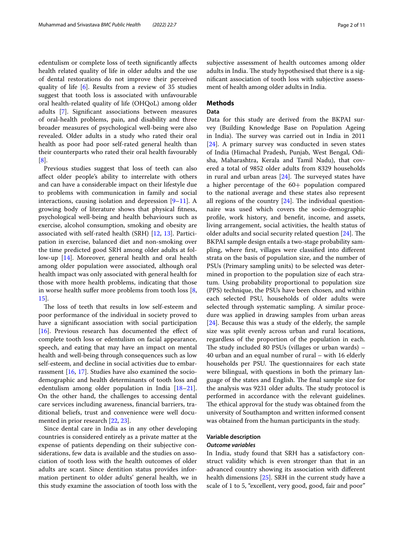edentulism or complete loss of teeth signifcantly afects health related quality of life in older adults and the use of dental restorations do not improve their perceived quality of life [[6\]](#page-9-5). Results from a review of 35 studies suggest that tooth loss is associated with unfavourable oral health-related quality of life (OHQoL) among older adults [[7\]](#page-9-6). Signifcant associations between measures of oral-health problems, pain, and disability and three broader measures of psychological well-being were also revealed. Older adults in a study who rated their oral health as poor had poor self-rated general health than their counterparts who rated their oral health favourably [[8\]](#page-9-7).

Previous studies suggest that loss of teeth can also afect older people's ability to interrelate with others and can have a considerable impact on their lifestyle due to problems with communication in family and social interactions, causing isolation and depression  $[9-11]$  $[9-11]$ . A growing body of literature shows that physical ftness, psychological well-being and health behaviours such as exercise, alcohol consumption, smoking and obesity are associated with self-rated health (SRH) [\[12,](#page-9-10) [13](#page-9-11)]. Participation in exercise, balanced diet and non-smoking over the time predicted good SRH among older adults at follow-up [[14](#page-9-12)]. Moreover, general health and oral health among older population were associated, although oral health impact was only associated with general health for those with more health problems, indicating that those in worse health suffer more problems from tooth loss  $[8, 8]$  $[8, 8]$ [15\]](#page-9-13).

The loss of teeth that results in low self-esteem and poor performance of the individual in society proved to have a signifcant association with social participation [ $16$ ]. Previous research has documented the effect of complete tooth loss or edentulism on facial appearance, speech, and eating that may have an impact on mental health and well-being through consequences such as low self-esteem, and decline in social activities due to embarrassment [\[16,](#page-9-14) [17\]](#page-9-15). Studies have also examined the sociodemographic and health determinants of tooth loss and edentulism among older population in India [[18](#page-9-16)[–21](#page-9-17)]. On the other hand, the challenges to accessing dental care services including awareness, fnancial barriers, traditional beliefs, trust and convenience were well documented in prior research [\[22](#page-9-18), [23\]](#page-9-19).

Since dental care in India as in any other developing countries is considered entirely as a private matter at the expense of patients depending on their subjective considerations, few data is available and the studies on association of tooth loss with the health outcomes of older adults are scant. Since dentition status provides information pertinent to older adults' general health, we in this study examine the association of tooth loss with the subjective assessment of health outcomes among older adults in India. The study hypothesised that there is a signifcant association of tooth loss with subjective assessment of health among older adults in India.

# **Methods**

### **Data**

Data for this study are derived from the BKPAI survey (Building Knowledge Base on Population Ageing in India). The survey was carried out in India in 2011 [[24\]](#page-9-20). A primary survey was conducted in seven states of India (Himachal Pradesh, Punjab, West Bengal, Odisha, Maharashtra, Kerala and Tamil Nadu), that covered a total of 9852 older adults from 8329 households in rural and urban areas  $[24]$  $[24]$ . The surveyed states have a higher percentage of the 60+ population compared to the national average and these states also represent all regions of the country  $[24]$  $[24]$ . The individual questionnaire was used which covers the socio-demographic profle, work history, and beneft, income, and assets, living arrangement, social activities, the health status of older adults and social security related question  $[24]$  $[24]$ . The BKPAI sample design entails a two-stage probability sampling, where frst, villages were classifed into diferent strata on the basis of population size, and the number of PSUs (Primary sampling units) to be selected was determined in proportion to the population size of each stratum. Using probability proportional to population size (PPS) technique, the PSUs have been chosen, and within each selected PSU, households of older adults were selected through systematic sampling. A similar procedure was applied in drawing samples from urban areas [[24\]](#page-9-20). Because this was a study of the elderly, the sample size was split evenly across urban and rural locations, regardless of the proportion of the population in each. The study included 80 PSUs (villages or urban wards)  $-$ 40 urban and an equal number of rural – with 16 elderly households per PSU. The questionnaires for each state were bilingual, with questions in both the primary language of the states and English. The final sample size for the analysis was 9231 older adults. The study protocol is performed in accordance with the relevant guidelines. The ethical approval for the study was obtained from the university of Southampton and written informed consent was obtained from the human participants in the study.

### **Variable description**

### *Outcome variables*

In India, study found that SRH has a satisfactory construct validity which is even stronger than that in an advanced country showing its association with diferent health dimensions [\[25](#page-9-21)]. SRH in the current study have a scale of 1 to 5, "excellent, very good, good, fair and poor"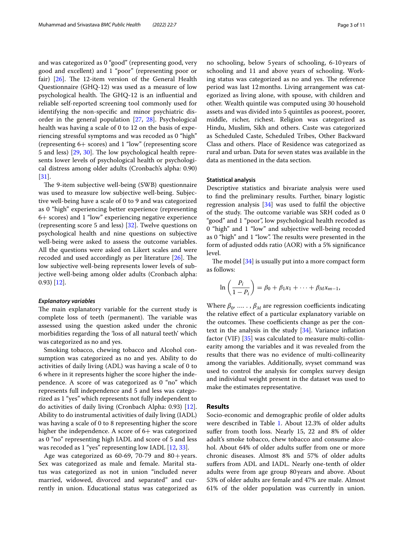and was categorized as 0 "good" (representing good, very good and excellent) and 1 "poor" (representing poor or fair)  $[26]$  $[26]$ . The 12-item version of the General Health Questionnaire (GHQ-12) was used as a measure of low psychological health. The GHQ-12 is an influential and reliable self-reported screening tool commonly used for identifying the non-specifc and minor psychiatric disorder in the general population [\[27](#page-9-23), [28](#page-9-24)]. Psychological health was having a scale of 0 to 12 on the basis of experiencing stressful symptoms and was recoded as 0 "high" (representing 6+ scores) and 1 "low" (representing score 5 and less)  $[29, 30]$  $[29, 30]$  $[29, 30]$  $[29, 30]$ . The low psychological health represents lower levels of psychological health or psychological distress among older adults (Cronbach's alpha: 0.90) [[31\]](#page-9-27).

The 9-item subjective well-being (SWB) questionnaire was used to measure low subjective well-being. Subjective well-being have a scale of 0 to 9 and was categorized as 0 "high" experiencing better experience (representing 6+ scores) and 1 "low" experiencing negative experience (representing score 5 and less) [\[32](#page-10-0)]. Twelve questions on psychological health and nine questions on subjective well-being were asked to assess the outcome variables. All the questions were asked on Likert scales and were recoded and used accordingly as per literature  $[26]$  $[26]$  $[26]$ . The low subjective well-being represents lower levels of subjective well-being among older adults (Cronbach alpha: 0.93) [\[12](#page-9-10)].

#### *Explanatory variables*

The main explanatory variable for the current study is complete loss of teeth (permanent). The variable was assessed using the question asked under the chronic morbidities regarding the 'loss of all natural teeth' which was categorized as no and yes.

Smoking tobacco, chewing tobacco and Alcohol consumption was categorized as no and yes. Ability to do activities of daily living (ADL) was having a scale of 0 to 6 where in it represents higher the score higher the independence. A score of was categorized as 0 "no" which represents full independence and 5 and less was categorized as 1 "yes" which represents not fully independent to do activities of daily living (Cronbach Alpha: 0.93) [\[12](#page-9-10)]. Ability to do instrumental activities of daily living (IADL) was having a scale of 0 to 8 representing higher the score higher the independence. A score of  $6+$  was categorized as 0 "no" representing high IADL and score of 5 and less was recoded as 1 "yes" representing low IADL [[12](#page-9-10), [33\]](#page-10-1).

Age was categorized as 60-69, 70-79 and  $80 + \text{years}$ . Sex was categorized as male and female. Marital status was categorized as not in union "included never married, widowed, divorced and separated" and currently in union. Educational status was categorized as no schooling, below 5years of schooling, 6-10years of schooling and 11 and above years of schooling. Working status was categorized as no and yes. The reference period was last 12months. Living arrangement was categorized as living alone, with spouse, with children and other. Wealth quintile was computed using 30 household assets and was divided into 5 quintiles as poorest, poorer, middle, richer, richest. Religion was categorized as Hindu, Muslim, Sikh and others. Caste was categorized as Scheduled Caste, Scheduled Tribes, Other Backward Class and others. Place of Residence was categorized as rural and urban. Data for seven states was available in the data as mentioned in the data section.

### **Statistical analysis**

Descriptive statistics and bivariate analysis were used to fnd the preliminary results. Further, binary logistic regression analysis [[34\]](#page-10-2) was used to fulfl the objective of the study. The outcome variable was SRH coded as 0 "good" and 1 "poor", low psychological health recoded as 0 "high" and 1 "low" and subjective well-being recoded as 0 "high" and 1 "low". The results were presented in the form of adjusted odds ratio (AOR) with a 5% signifcance level.

The model  $[34]$  $[34]$  is usually put into a more compact form as follows:

$$
\ln\left(\frac{P_i}{1-P_i}\right) = \beta_0 + \beta_1x_1 + \cdots + \beta_Mx_{m-1},
$$

Where  $\beta_0$ , .....,  $\beta_M$  are regression coefficients indicating the relative efect of a particular explanatory variable on the outcomes. These coefficients change as per the context in the analysis in the study [[34](#page-10-2)]. Variance infation factor (VIF) [[35\]](#page-10-3) was calculated to measure multi-collinearity among the variables and it was revealed from the results that there was no evidence of multi-collinearity among the variables. Additionally, svyset command was used to control the analysis for complex survey design and individual weight present in the dataset was used to make the estimates representative.

#### **Results**

Socio-economic and demographic profle of older adults were described in Table [1](#page-3-0). About 12.3% of older adults sufer from tooth loss. Nearly 15, 22 and 8% of older adult's smoke tobacco, chew tobacco and consume alcohol. About 64% of older adults sufer from one or more chronic diseases. Almost 8% and 57% of older adults sufers from ADL and IADL. Nearly one-tenth of older adults were from age group 80years and above. About 53% of older adults are female and 47% are male. Almost 61% of the older population was currently in union.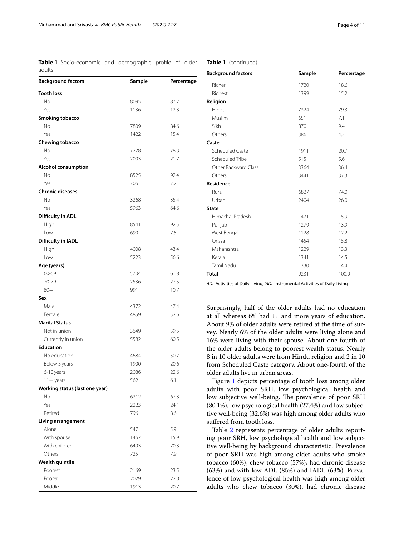<span id="page-3-0"></span>**Table 1** Socio-economic and demographic profle of older adults

| <b>Background factors</b>      | Sample | Percentage |
|--------------------------------|--------|------------|
| <b>Tooth loss</b>              |        |            |
| No                             | 8095   | 87.7       |
| Yes                            | 1136   | 12.3       |
| Smoking tobacco                |        |            |
| No                             | 7809   | 84.6       |
| Yes                            | 1422   | 15.4       |
| Chewing tobacco                |        |            |
| No                             | 7228   | 78.3       |
| Yes                            | 2003   | 21.7       |
| <b>Alcohol consumption</b>     |        |            |
| No                             | 8525   | 92.4       |
| Yes                            | 706    | 7.7        |
| <b>Chronic diseases</b>        |        |            |
| No                             | 3268   | 35.4       |
| Yes                            | 5963   | 64.6       |
| Difficulty in ADL              |        |            |
| High                           | 8541   | 92.5       |
| Low                            | 690    | 7.5        |
| Difficulty in IADL             |        |            |
| High                           | 4008   | 43.4       |
| Low                            | 5223   | 56.6       |
| Age (years)                    |        |            |
| 60-69                          | 5704   | 61.8       |
| 70-79                          | 2536   | 27.5       |
| $80+$                          | 991    | 10.7       |
| Sex                            |        |            |
| Male                           | 4372   | 47.4       |
| Female                         | 4859   | 52.6       |
| <b>Marital Status</b>          |        |            |
| Not in union                   | 3649   | 39.5       |
| Currently in union             | 5582   | 60.5       |
| <b>Education</b>               |        |            |
| No education                   | 4684   | 50.7       |
| Below 5 years                  | 1900   | 20.6       |
| 6-10 years                     | 2086   | 22.6       |
| $11 +$ years                   | 562    | 6.1        |
| Working status (last one year) |        |            |
| No                             | 6212   | 67.3       |
| Yes                            | 2223   | 24.1       |
| Retired                        | 796    | 8.6        |
| Living arrangement             |        |            |
| Alone                          | 547    | 5.9        |
| With spouse                    | 1467   | 15.9       |
| With children                  | 6493   | 70.3       |
| Others                         | 725    | 7.9        |
| <b>Wealth quintile</b>         |        |            |
| Poorest                        | 2169   | 23.5       |
| Poorer                         | 2029   | 22.0       |
| Middle                         | 1913   | 20.7       |

# **Table 1** (continued)

| <b>Background factors</b> | Sample | Percentage |  |
|---------------------------|--------|------------|--|
| Richer                    | 1720   | 18.6       |  |
| Richest                   | 1399   | 15.2       |  |
| Religion                  |        |            |  |
| Hindu                     | 7324   | 79.3       |  |
| Muslim                    | 651    | 7.1        |  |
| Sikh                      | 870    | 9.4        |  |
| Others                    | 386    | 4.2        |  |
| Caste                     |        |            |  |
| Scheduled Caste           | 1911   | 20.7       |  |
| Scheduled Tribe           | 515    | 5.6        |  |
| Other Backward Class      | 3364   | 36.4       |  |
| Others                    | 3441   | 37.3       |  |
| <b>Residence</b>          |        |            |  |
| Rural                     | 6827   | 74.0       |  |
| Urban                     | 2404   | 26.0       |  |
| <b>State</b>              |        |            |  |
| Himachal Pradesh          | 1471   | 15.9       |  |
| Punjab                    | 1279   | 13.9       |  |
| West Bengal               | 1128   | 12.2       |  |
| Orissa                    | 1454   | 15.8       |  |
| Maharashtra               | 1229   | 13.3       |  |
| Kerala                    | 1341   | 14.5       |  |
| Tamil Nadu                | 1330   | 14.4       |  |
| <b>Total</b>              | 9231   | 100.0      |  |

*ADL* Activities of Daily Living, *IADL* Instrumental Activities of Daily Living

Surprisingly, half of the older adults had no education at all whereas 6% had 11 and more years of education. About 9% of older adults were retired at the time of survey. Nearly 6% of the older adults were living alone and 16% were living with their spouse. About one-fourth of the older adults belong to poorest wealth status. Nearly 8 in 10 older adults were from Hindu religion and 2 in 10 from Scheduled Caste category. About one-fourth of the older adults live in urban areas.

Figure [1](#page-4-0) depicts percentage of tooth loss among older adults with poor SRH, low psychological health and low subjective well-being. The prevalence of poor SRH (80.1%), low psychological health (27.4%) and low subjective well-being (32.6%) was high among older adults who sufered from tooth loss.

Table [2](#page-5-0) represents percentage of older adults reporting poor SRH, low psychological health and low subjective well-being by background characteristic. Prevalence of poor SRH was high among older adults who smoke tobacco (60%), chew tobacco (57%), had chronic disease (63%) and with low ADL (85%) and IADL (63%). Prevalence of low psychological health was high among older adults who chew tobacco (30%), had chronic disease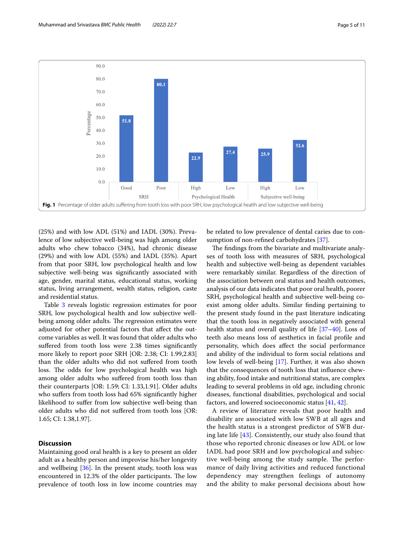

<span id="page-4-0"></span>(25%) and with low ADL (51%) and IADL (30%). Prevalence of low subjective well-being was high among older adults who chew tobacco (34%), had chronic disease (29%) and with low ADL (55%) and IADL (35%). Apart from that poor SRH, low psychological health and low subjective well-being was signifcantly associated with age, gender, marital status, educational status, working status, living arrangement, wealth status, religion, caste and residential status.

Table [3](#page-7-0) reveals logistic regression estimates for poor SRH, low psychological health and low subjective wellbeing among older adults. The regression estimates were adjusted for other potential factors that afect the outcome variables as well. It was found that older adults who suffered from tooth loss were 2.38 times significantly more likely to report poor SRH [OR: 2.38; CI: 1.99,2.83] than the older adults who did not sufered from tooth loss. The odds for low psychological health was high among older adults who sufered from tooth loss than their counterparts [OR: 1.59; CI: 1.33,1.91]. Older adults who suffers from tooth loss had 65% significantly higher likelihood to suffer from low subjective well-being than older adults who did not sufered from tooth loss [OR: 1.65; CI: 1.38,1.97].

# **Discussion**

Maintaining good oral health is a key to present an older adult as a healthy person and improvise his/her longevity and wellbeing  $[36]$  $[36]$ . In the present study, tooth loss was encountered in 12.3% of the older participants. The low prevalence of tooth loss in low income countries may

be related to low prevalence of dental caries due to consumption of non-refned carbohydrates [[37](#page-10-5)].

The findings from the bivariate and multivariate analyses of tooth loss with measures of SRH, psychological health and subjective well-being as dependent variables were remarkably similar. Regardless of the direction of the association between oral status and health outcomes, analysis of our data indicates that poor oral health, poorer SRH, psychological health and subjective well-being coexist among older adults. Similar fnding pertaining to the present study found in the past literature indicating that the tooth loss in negatively associated with general health status and overall quality of life [[37–](#page-10-5)[40](#page-10-6)]. Loss of teeth also means loss of aesthetics in facial profle and personality, which does afect the social performance and ability of the individual to form social relations and low levels of well-being [[17](#page-9-15)]. Further, it was also shown that the consequences of tooth loss that infuence chewing ability, food intake and nutritional status, are complex leading to several problems in old age, including chronic diseases, functional disabilities, psychological and social factors, and lowered socioeconomic status [[41,](#page-10-7) [42](#page-10-8)].

A review of literature reveals that poor health and disability are associated with low SWB at all ages and the health status is a strongest predictor of SWB during late life [\[43](#page-10-9)]. Consistently, our study also found that those who reported chronic diseases or low ADL or low IADL had poor SRH and low psychological and subjective well-being among the study sample. The performance of daily living activities and reduced functional dependency may strengthen feelings of autonomy and the ability to make personal decisions about how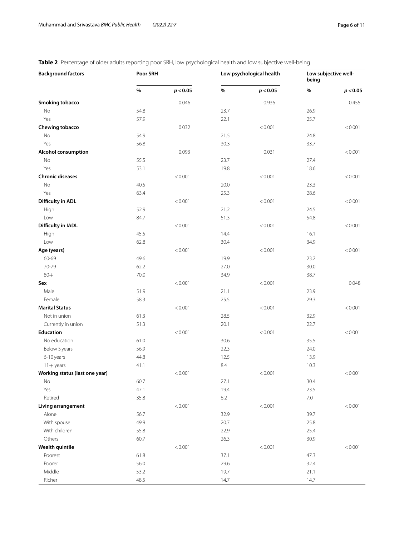# <span id="page-5-0"></span>**Table 2** Percentage of older adults reporting poor SRH, low psychological health and low subjective well-being

| <b>Background factors</b>       | Poor SRH |          | Low psychological health |          | Low subjective well-<br>being |          |
|---------------------------------|----------|----------|--------------------------|----------|-------------------------------|----------|
|                                 | $\%$     | p < 0.05 | $\%$                     | p < 0.05 | $\%$                          | p < 0.05 |
| <b>Smoking tobacco</b>          |          | 0.046    |                          | 0.936    |                               | 0.455    |
| No                              | 54.8     |          | 23.7                     |          | 26.9                          |          |
| Yes                             | 57.9     |          | 22.1                     |          | 25.7                          |          |
| Chewing tobacco                 |          | 0.032    |                          | < 0.001  |                               | < 0.001  |
| No                              | 54.9     |          | 21.5                     |          | 24.8                          |          |
| Yes                             | 56.8     |          | 30.3                     |          | 33.7                          |          |
| <b>Alcohol consumption</b>      |          | 0.093    |                          | 0.031    |                               | < 0.001  |
| No                              | 55.5     |          | 23.7                     |          | 27.4                          |          |
| Yes                             | 53.1     |          | 19.8                     |          | 18.6                          |          |
| <b>Chronic diseases</b>         |          | < 0.001  |                          | < 0.001  |                               | < 0.001  |
| No                              | 40.5     |          | 20.0                     |          | 23.3                          |          |
| Yes                             | 63.4     |          | 25.3                     |          | 28.6                          |          |
| Difficulty in ADL               |          | < 0.001  |                          | < 0.001  |                               | < 0.001  |
| High                            | 52.9     |          | 21.2                     |          | 24.5                          |          |
| Low                             | 84.7     |          | 51.3                     |          | 54.8                          |          |
| Difficulty in IADL              |          | < 0.001  |                          | < 0.001  |                               | < 0.001  |
| High                            | 45.5     |          | 14.4                     |          | 16.1                          |          |
| Low                             | 62.8     |          | 30.4                     |          | 34.9                          |          |
| Age (years)                     |          | < 0.001  |                          | < 0.001  |                               | < 0.001  |
| 60-69                           | 49.6     |          | 19.9                     |          | 23.2                          |          |
| 70-79                           | 62.2     |          | 27.0                     |          | 30.0                          |          |
| $80 +$                          | 70.0     |          | 34.9                     |          | 38.7                          |          |
|                                 |          | < 0.001  |                          | < 0.001  |                               | 0.048    |
| Sex                             |          |          |                          |          |                               |          |
| Male                            | 51.9     |          | 21.1                     |          | 23.9                          |          |
| Female<br><b>Marital Status</b> | 58.3     |          | 25.5                     |          | 29.3                          |          |
|                                 |          | < 0.001  |                          | < 0.001  |                               | < 0.001  |
| Not in union                    | 61.3     |          | 28.5                     |          | 32.9                          |          |
| Currently in union              | 51.3     |          | 20.1                     |          | 22.7                          |          |
| <b>Education</b>                |          | < 0.001  |                          | < 0.001  |                               | < 0.001  |
| No education                    | 61.0     |          | 30.6                     |          | 35.5                          |          |
| Below 5 years                   | 56.9     |          | 22.3                     |          | 24.0                          |          |
| 6-10 years                      | 44.8     |          | 12.5                     |          | 13.9                          |          |
| $11 +$ years                    | 41.1     |          | $8.4\,$                  |          | 10.3                          |          |
| Working status (last one year)  |          | 0.001    |                          | < 0.001  |                               | < 0.001  |
| No                              | 60.7     |          | 27.1                     |          | 30.4                          |          |
| Yes                             | 47.1     |          | 19.4                     |          | 23.5                          |          |
| Retired                         | 35.8     |          | 6.2                      |          | $7.0\,$                       |          |
| Living arrangement              |          | < 0.001  |                          | < 0.001  |                               | < 0.001  |
| Alone                           | 56.7     |          | 32.9                     |          | 39.7                          |          |
| With spouse                     | 49.9     |          | 20.7                     |          | 25.8                          |          |
| With children                   | 55.8     |          | 22.9                     |          | 25.4                          |          |
| Others                          | 60.7     |          | 26.3                     |          | 30.9                          |          |
| <b>Wealth quintile</b>          |          | < 0.001  |                          | < 0.001  |                               | < 0.001  |
| Poorest                         | 61.8     |          | 37.1                     |          | 47.3                          |          |
| Poorer                          | 56.0     |          | 29.6                     |          | 32.4                          |          |
| Middle                          | 53.2     |          | 19.7                     |          | 21.1                          |          |
| Richer                          | 48.5     |          | 14.7                     |          | 14.7                          |          |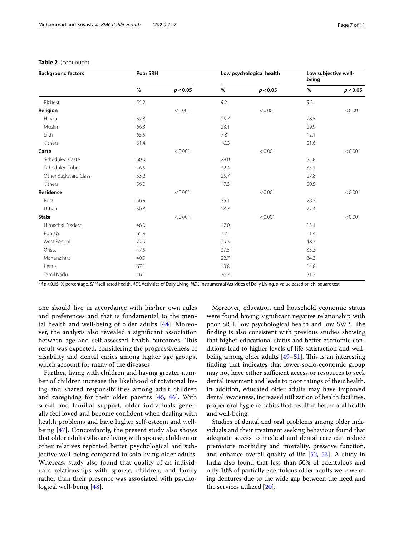| <b>Background factors</b> | Poor SRH |          | Low psychological health |          | Low subjective well-<br>being |          |
|---------------------------|----------|----------|--------------------------|----------|-------------------------------|----------|
|                           | $\%$     | p < 0.05 | $\%$                     | p < 0.05 | $\%$                          | p < 0.05 |
| Richest                   | 55.2     |          | 9.2                      |          | 9.3                           |          |
| Religion                  |          | < 0.001  |                          | < 0.001  |                               | < 0.001  |
| Hindu                     | 52.8     |          | 25.7                     |          | 28.5                          |          |
| Muslim                    | 66.3     |          | 23.1                     |          | 29.9                          |          |
| Sikh                      | 65.5     |          | 7.8                      |          | 12.1                          |          |
| Others                    | 61.4     |          | 16.3                     |          | 21.6                          |          |
| Caste                     |          | < 0.001  |                          | < 0.001  |                               | < 0.001  |
| Scheduled Caste           | 60.0     |          | 28.0                     |          | 33.8                          |          |
| Scheduled Tribe           | 46.5     |          | 32.4                     |          | 35.1                          |          |
| Other Backward Class      | 53.2     |          | 25.7                     |          | 27.8                          |          |
| Others                    | 56.0     |          | 17.3                     |          | 20.5                          |          |
| Residence                 |          | < 0.001  |                          | < 0.001  |                               | < 0.001  |
| Rural                     | 56.9     |          | 25.1                     |          | 28.3                          |          |
| Urban                     | 50.8     |          | 18.7                     |          | 22.4                          |          |
| <b>State</b>              |          | < 0.001  |                          | < 0.001  |                               | < 0.001  |
| Himachal Pradesh          | 46.0     |          | 17.0                     |          | 15.1                          |          |
| Punjab                    | 65.9     |          | 7.2                      |          | 11.4                          |          |
| West Bengal               | 77.9     |          | 29.3                     |          | 48.3                          |          |
| Orissa                    | 47.5     |          | 37.5                     |          | 35.3                          |          |
| Maharashtra               | 40.9     |          | 22.7                     |          | 34.3                          |          |
| Kerala                    | 67.1     |          | 13.8                     |          | 14.8                          |          |
| Tamil Nadu                | 46.1     |          | 36.2                     |          | 31.7                          |          |

### **Table 2** (continued)

\*if *p*<0.05, *%* percentage, *SRH* self-rated health, *ADL* Activities of Daily Living, *IADL* Instrumental Activities of Daily Living, *p*-value based on chi-square test

one should live in accordance with his/her own rules and preferences and that is fundamental to the mental health and well-being of older adults [[44](#page-10-10)]. Moreover, the analysis also revealed a signifcant association between age and self-assessed health outcomes. This result was expected, considering the progressiveness of disability and dental caries among higher age groups, which account for many of the diseases.

Further, living with children and having greater number of children increase the likelihood of rotational living and shared responsibilities among adult children and caregiving for their older parents [[45](#page-10-11), [46](#page-10-12)]. With social and familial support, older individuals generally feel loved and become confdent when dealing with health problems and have higher self-esteem and wellbeing [\[47\]](#page-10-13). Concordantly, the present study also shows that older adults who are living with spouse, children or other relatives reported better psychological and subjective well-being compared to solo living older adults. Whereas, study also found that quality of an individual's relationships with spouse, children, and family rather than their presence was associated with psychological well-being [[48\]](#page-10-14).

Moreover, education and household economic status were found having signifcant negative relationship with poor SRH, low psychological health and low SWB. The fnding is also consistent with previous studies showing that higher educational status and better economic conditions lead to higher levels of life satisfaction and wellbeing among older adults  $[49-51]$  $[49-51]$ . This is an interesting fnding that indicates that lower-socio-economic group may not have either sufficient access or resources to seek dental treatment and leads to poor ratings of their health. In addition, educated older adults may have improved dental awareness, increased utilization of health facilities, proper oral hygiene habits that result in better oral health and well-being.

Studies of dental and oral problems among older individuals and their treatment seeking behaviour found that adequate access to medical and dental care can reduce premature morbidity and mortality, preserve function, and enhance overall quality of life [[52,](#page-10-17) [53\]](#page-10-18). A study in India also found that less than 50% of edentulous and only 10% of partially edentulous older adults were wearing dentures due to the wide gap between the need and the services utilized [[20\]](#page-9-28).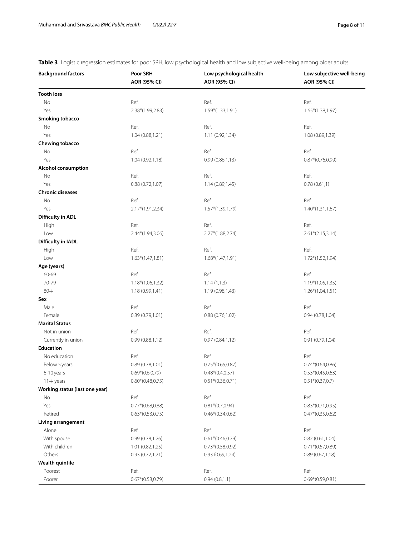<span id="page-7-0"></span>**Table 3** Logistic regression estimates for poor SRH, low psychological health and low subjective well-being among older adults

| <b>Background factors</b>      | Poor SRH<br>Low psychological health |                     | Low subjective well-being |  |  |
|--------------------------------|--------------------------------------|---------------------|---------------------------|--|--|
|                                | AOR (95% CI)                         | AOR (95% CI)        | AOR (95% CI)              |  |  |
| <b>Tooth loss</b>              |                                      |                     |                           |  |  |
| No                             | Ref.                                 | Ref.                | Ref.                      |  |  |
| Yes                            | 2.38*(1.99,2.83)                     | 1.59*(1.33,1.91)    | $1.65*(1.38, 1.97)$       |  |  |
| Smoking tobacco                |                                      |                     |                           |  |  |
| No                             | Ref.                                 | Ref.                | Ref.                      |  |  |
| Yes                            | 1.04 (0.88,1.21)                     | 1.11 (0.92,1.34)    | 1.08 (0.89,1.39)          |  |  |
| Chewing tobacco                |                                      |                     |                           |  |  |
| No                             | Ref.                                 | Ref.                | Ref.                      |  |  |
| Yes                            | 1.04 (0.92,1.18)                     | 0.99(0.86, 1.13)    | $0.87*(0.76, 0.99)$       |  |  |
| <b>Alcohol consumption</b>     |                                      |                     |                           |  |  |
| No                             | Ref.                                 | Ref.                | Ref.                      |  |  |
| Yes                            | 0.88(0.72, 1.07)                     | 1.14 (0.89,1.45)    | 0.78(0.61,1)              |  |  |
| <b>Chronic diseases</b>        |                                      |                     |                           |  |  |
| No                             | Ref.                                 | Ref.                | Ref.                      |  |  |
| Yes                            | 2.17*(1.91,2.34)                     | $1.57*(1.39, 1.79)$ | $1.40*(1.31, 1.67)$       |  |  |
| Difficulty in ADL              |                                      |                     |                           |  |  |
| High                           | Ref.                                 | Ref.                | Ref.                      |  |  |
| Low                            | 2.44*(1.94,3.06)                     | 2.27*(1.88,2.74)    | $2.61*(2.15,3.14)$        |  |  |
| Difficulty in IADL             |                                      |                     |                           |  |  |
| High                           | Ref.                                 | Ref.                | Ref.                      |  |  |
| Low                            | $1.63*(1.47,1.81)$                   | $1.68*(1.47,1.91)$  | $1.72*(1.52, 1.94)$       |  |  |
| Age (years)                    |                                      |                     |                           |  |  |
| 60-69                          | Ref.                                 | Ref.                | Ref.                      |  |  |
| 70-79                          | $1.18*(1.06, 1.32)$                  | 1.14(1,1.3)         | $1.19*(1.05, 1.35)$       |  |  |
| $80 +$                         | 1.18(0.99, 1.41)                     | 1.19 (0.98,1.43)    | $1.26*(1.04,1.51)$        |  |  |
| Sex                            |                                      |                     |                           |  |  |
| Male                           | Ref.                                 | Ref.                | Ref.                      |  |  |
| Female                         | 0.89(0.79, 1.01)                     | 0.88(0.76, 1.02)    | 0.94(0.78, 1.04)          |  |  |
| <b>Marital Status</b>          |                                      |                     |                           |  |  |
| Not in union                   | Ref.                                 | Ref.                | Ref.                      |  |  |
| Currently in union             | 0.99(0.88, 1.12)                     | 0.97(0.84, 1.12)    | 0.91(0.79, 1.04)          |  |  |
| Education                      |                                      |                     |                           |  |  |
| No education                   | Ref.                                 | Ref.                | Ref.                      |  |  |
| Below 5 years                  | 0.89(0.78, 1.01)                     | $0.75*(0.65, 0.87)$ | $0.74*(0.64, 0.86)$       |  |  |
| 6-10 years                     | $0.69*(0.6, 0.79)$                   | $0.48*(0.4, 0.57)$  | $0.53*(0.45, 0.63)$       |  |  |
| $11 +$ years                   | $0.60*(0.48,0.75)$                   | $0.51*(0.36, 0.71)$ | $0.51*(0.37,0.7)$         |  |  |
| Working status (last one year) |                                      |                     |                           |  |  |
| No                             | Ref.                                 | Ref.                | Ref.                      |  |  |
| Yes                            | $0.77*(0.68,0.88)$                   | $0.81*(0.7,0.94)$   | $0.83*(0.71,0.95)$        |  |  |
| Retired                        | $0.63*(0.53,0.75)$                   | $0.46*(0.34, 0.62)$ | $0.47*(0.35, 0.62)$       |  |  |
| Living arrangement             |                                      |                     |                           |  |  |
| Alone                          | Ref.                                 | Ref.                | Ref.                      |  |  |
| With spouse                    | 0.99(0.78, 1.26)                     | $0.61*(0.46, 0.79)$ | 0.82(0.61, 1.04)          |  |  |
| With children                  | 1.01(0.82, 1.25)                     | $0.73*(0.58, 0.92)$ | $0.71*(0.57,0.89)$        |  |  |
| Others                         | 0.93(0.72, 1.21)                     | 0.93(0.69, 1.24)    | 0.89(0.67,1.18)           |  |  |
| <b>Wealth quintile</b>         |                                      |                     |                           |  |  |
| Poorest                        | Ref.                                 | Ref.                | Ref.                      |  |  |
| Poorer                         | $0.67*(0.58, 0.79)$                  | 0.94(0.8, 1.1)      | $0.69*(0.59,0.81)$        |  |  |
|                                |                                      |                     |                           |  |  |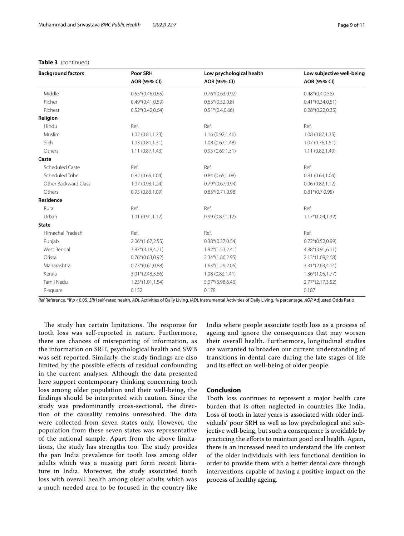### **Table 3** (continued)

| <b>Background factors</b> | Poor SRH            | Low psychological health | Low subjective well-being |
|---------------------------|---------------------|--------------------------|---------------------------|
|                           | AOR (95% CI)        | AOR (95% CI)             | AOR (95% CI)              |
| Middle                    | $0.55*(0.46,0.65)$  | $0.76*(0.63,0.92)$       | $0.48*(0.4, 0.58)$        |
| Richer                    | $0.49*(0.41, 0.59)$ | $0.65*(0.52,0.8)$        | $0.41*(0.34, 0.51)$       |
| Richest                   | $0.52*(0.42,0.64)$  | $0.51*(0.4,0.66)$        | $0.28*(0.22,0.35)$        |
| Religion                  |                     |                          |                           |
| Hindu                     | Ref.                | Ref.                     | Ref.                      |
| Muslim                    | 1.02 (0.81,1.23)    | 1.16(0.92, 1.46)         | 1.08 (0.87,1.35)          |
| Sikh                      | 1.03 (0.81,1.31)    | 1.08(0.67, 1.48)         | 1.07(0.76, 1.51)          |
| Others                    | 1.11(0.87, 1.43)    | 0.95(0.69, 1.31)         | 1.11(0.82, 1.49)          |
| Caste                     |                     |                          |                           |
| <b>Scheduled Caste</b>    | Ref.                | Ref.                     | Ref.                      |
| Scheduled Tribe           | 0.82(0.65, 1.04)    | 0.84(0.65, 1.08)         | 0.81(0.64, 1.04)          |
| Other Backward Class      | 1.07(0.93, 1.24)    | $0.79*(0.67,0.94)$       | 0.96(0.82,1.12)           |
| Others                    | 0.95(0.83, 1.09)    | $0.83*(0.71, 0.98)$      | $0.81*(0.7,0.95)$         |
| Residence                 |                     |                          |                           |
| Rural                     | Ref.                | Ref.                     | Ref.                      |
| Urban                     | 1.01(0.91, 1.12)    | 0.99(0.87,1.12)          | $1.17*(1.04, 1.32)$       |
| <b>State</b>              |                     |                          |                           |
| Himachal Pradesh          | Ref.                | Ref.                     | Ref.                      |
| Punjab                    | $2.06*(1.67, 2.55)$ | $0.38*(0.27, 0.54)$      | $0.72*(0.52,0.99)$        |
| West Bengal               | $3.87*(3.18, 4.71)$ | $1.92*(1.53,2.41)$       | $4.88*(3.91,6.11)$        |
| Orissa                    | $0.76*(0.63,0.92)$  | $2.34*(1.86, 2.95)$      | $2.13*(1.69, 2.68)$       |
| Maharashtra               | $0.73*(0.61,0.88)$  | $1.63*(1.29,2.06)$       | $3.31*(2.63,4.14)$        |
| Kerala                    | $3.01*(2.48, 3.66)$ | 1.08(0.82, 1.41)         | $1.36*(1.05,1.77)$        |
| <b>Tamil Nadu</b>         | $1.23*(1.01, 1.54)$ | 5.07*(3.98,6.46)         | $2.77*(2.17,3.52)$        |
| R-square                  | 0.152               | 0.178                    | 0.187                     |

*Ref* Reference, \*if *p*<0.05, *SRH* self-rated health, *ADL* Activities of Daily Living, *IADL* Instrumental Activities of Daily Living, *%* percentage, *AOR* Adjusted Odds Ratio

The study has certain limitations. The response for tooth loss was self-reported in nature. Furthermore, there are chances of misreporting of information, as the information on SRH, psychological health and SWB was self-reported. Similarly, the study fndings are also limited by the possible efects of residual confounding in the current analyses. Although the data presented here support contemporary thinking concerning tooth loss among older population and their well-being, the fndings should be interpreted with caution. Since the study was predominantly cross-sectional, the direction of the causality remains unresolved. The data were collected from seven states only. However, the population from these seven states was representative of the national sample. Apart from the above limitations, the study has strengths too. The study provides the pan India prevalence for tooth loss among older adults which was a missing part form recent literature in India. Moreover, the study associated tooth loss with overall health among older adults which was a much needed area to be focused in the country like

India where people associate tooth loss as a process of ageing and ignore the consequences that may worsen their overall health. Furthermore, longitudinal studies are warranted to broaden our current understanding of transitions in dental care during the late stages of life and its efect on well-being of older people.

## **Conclusion**

Tooth loss continues to represent a major health care burden that is often neglected in countries like India. Loss of tooth in later years is associated with older individuals' poor SRH as well as low psychological and subjective well-being, but such a consequence is avoidable by practicing the eforts to maintain good oral health. Again, there is an increased need to understand the life context of the older individuals with less functional dentition in order to provide them with a better dental care through interventions capable of having a positive impact on the process of healthy ageing.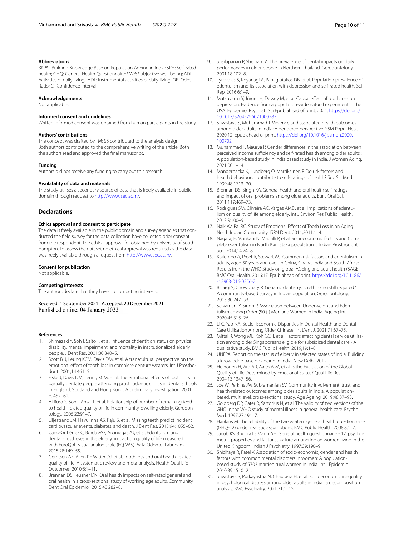#### **Abbreviations**

BKPAI: Building Knowledge Base on Population Ageing in India; SRH: Self-rated health; GHQ: General Health Questionnaire; SWB: Subjective well-being; ADL: Activities of daily living; IADL: Instrumental activities of daily living; OR: Odds Ratio; CI: Confdence Interval.

#### **Acknowledgements**

Not applicable.

#### **Informed consent and guidelines**

Written informed consent was obtained from human participants in the study.

#### **Authors' contributions**

The concept was drafted by TM; SS contributed to the analysis design. Both authors contributed to the comprehensive writing of the article. Both the authors read and approved the fnal manuscript.

#### **Funding**

Authors did not receive any funding to carry out this research.

#### **Availability of data and materials**

The study utilises a secondary source of data that is freely available in public domain through request to <http://www.isec.ac.in/>.

#### **Declarations**

#### **Ethics approval and consent to participate**

The data is freely available in the public domain and survey agencies that conducted the feld survey for the data collection have collected prior consent from the respondent. The ethical approval for obtained by university of South Hampton. To assess the dataset no ethical approval was required as the data was freely available through a request from <http://www.isec.ac.in/>.

#### **Consent for publication**

Not applicable.

#### **Competing interests**

The authors declare that they have no competing interests.

Received: 1 September 2021 Accepted: 20 December 2021

#### **References**

- <span id="page-9-0"></span>1. Shimazaki Y, Soh I, Saito T, et al. Infuence of dentition status on physical disability, mental impairment, and mortality in institutionalized elderly people. J Dent Res. 2001;80:340–5.
- <span id="page-9-1"></span>2. Scott BJJ, Leung KCM, Davis DM, et al. A transcultural perspective on the emotional efect of tooth loss in complete denture wearers. Int J Prosthodont. 2001;14:461–5.
- <span id="page-9-2"></span>3. Fiske J, Davis DM, Leung KCM, et al. The emotional efects of tooth loss in partially dentate people attending prosthodontic clinics in dental schools in England. Scotland and Hong Kong: A preliminary investigation; 2001. p. 457–61.
- <span id="page-9-3"></span>4. Akifusa S, Soh I, Ansai T, et al. Relationship of number of remaining teeth to health-related quality of life in community-dwelling elderly. Gerodontology. 2005;22:91–7.
- <span id="page-9-4"></span>5. Liljestrand JM, Havulinna AS, Paju S, et al. Missing teeth predict incident cardiovascular events, diabetes, and death. J Dent Res. 2015;94:1055–62.
- <span id="page-9-5"></span>6. Cano-Gutiérrez C, Borda MG, Arciniegas AJ, et al. Edentulism and dental prostheses in the elderly: impact on quality of life measured with EuroQol--visual analog scale (EQ-VAS). Acta Odontol Latinoam. 2015;28:149–55.
- <span id="page-9-6"></span>7. Gerritsen AE, Allen PF, Witter DJ, et al. Tooth loss and oral health-related quality of life: A systematic review and meta-analysis. Health Qual Life Outcomes. 2010;8:1–11.
- <span id="page-9-7"></span>8. Brennan DS, Teusner DN. Oral health impacts on self-rated general and oral health in a cross-sectional study of working age adults. Community Dent Oral Epidemiol. 2015;43:282–8.
- <span id="page-9-8"></span>9. Srisilapanan P, Sheiham A. The prevalence of dental impacts on daily performances in older people in Northern Thailand. Gerodontology. 2001;18:102–8.
- 10. Tyrovolas S, Koyanagi A, Panagiotakos DB, et al. Population prevalence of edentulism and its association with depression and self-rated health. Sci Rep. 2016;6:1–9.
- <span id="page-9-9"></span>11. Matsuyama Y, Jürges H, Dewey M, et al. Causal effect of tooth loss on depression: Evidence from a population-wide natural experiment in the USA. Epidemiol Psychiatr Sci Epub ahead of print. 2021. [https://doi.org/](https://doi.org/10.1017/S2045796021000287) [10.1017/S2045796021000287.](https://doi.org/10.1017/S2045796021000287)
- <span id="page-9-10"></span>12. Srivastava S, Muhammad T. Violence and associated health outcomes among older adults in India: A gendered perspective. SSM Popul Heal. 2020;12. Epub ahead of print. [https://doi.org/10.1016/j.ssmph.2020.](https://doi.org/10.1016/j.ssmph.2020.100702) [100702.](https://doi.org/10.1016/j.ssmph.2020.100702)
- <span id="page-9-11"></span>13. Muhammad T, Maurya P. Gender diferences in the association between perceived income sufficiency and self-rated health among older adults : A population-based study in India based study in India. J Women Aging. 2021;00:1–14.
- <span id="page-9-12"></span>14. Manderbacka K, Lundberg O, Martikainen P. Do risk factors and health behaviours contribute to self- ratings of health? Soc Sci Med. 1999;48:1713–20.
- <span id="page-9-13"></span>15. Brennan DS, Singh KA. General health and oral health self-ratings, and impact of oral problems among older adults. Eur J Oral Sci. 2011;119:469–73.
- <span id="page-9-14"></span>16. Rodrigues SM, Oliveira AC, Vargas AMD, et al. Implications of edentulism on quality of life among elderly. Int J Environ Res Public Health. 2012;9:100–9.
- <span id="page-9-15"></span>17. Naik AV, Pai RC. Study of Emotional Efects of Tooth Loss in an Aging North Indian Community. ISRN Dent. 2011;2011:1–4.
- <span id="page-9-16"></span>18. Nagaraj E, Mankani N, Madalli P, et al. Socioeconomic factors and Complete edentulism in North Karnataka population. J Indian Prosthodont Soc. 2014;14:24–8.
- 19. Kailembo A, Preet R, Stewart WJ. Common risk factors and edentulism in adults, aged 50 years and over, in China, Ghana, India and South Africa: Results from the WHO Study on global AGEing and adult health (SAGE). BMC Oral Health. 2016;17. Epub ahead of print. [https://doi.org/10.1186/](https://doi.org/10.1186/s12903-016-0256-2) [s12903-016-0256-2.](https://doi.org/10.1186/s12903-016-0256-2)
- <span id="page-9-28"></span>20. Bijjargi S, Chowdhary R. Geriatric dentistry: Is rethinking still required? A community-based survey in Indian population. Gerodontology. 2013;30:247–53.
- <span id="page-9-17"></span>21. Selvamani Y, Singh P. Association between Underweight and Edentulism among Older (50+) Men and Women in India. Ageing Int. 2020;45:315–26.
- <span id="page-9-18"></span>22. Li C, Yao NA. Socio–Economic Disparities in Dental Health and Dental Care Utilisation Among Older Chinese. Int Dent J. 2021;71:67–75.
- <span id="page-9-19"></span>23. Mittal R, Wong ML, Koh GCH, et al. Factors afecting dental service utilisation among older Singaporeans eligible for subsidized dental care - A qualitative study. BMC Public Health. 2019;19:1–8.
- <span id="page-9-20"></span>24. UNFPA. Report on the status of elderly in selected states of India: Building a knowledge base on ageing in India. New Delhi; 2012.
- <span id="page-9-21"></span>25. Heinonen H, Aro AR, Aalto A-M, et al. Is the Evaluation of the Global Quality of Life Determined by Emotional Status? Qual Life Res. 2004;13:1347–56.
- <span id="page-9-22"></span>26. Joe W, Perkins JM, Subramanian SV. Community involvement, trust, and health-related outcomes among older adults in India: A populationbased, multilevel, cross-sectional study. Age Ageing. 2019;48:87–93.
- <span id="page-9-23"></span>27. Goldberg DP, Gater R, Sartorius N, et al. The validity of two versions of the GHQ in the WHO study of mental illness in general health care. Psychol Med. 1997;27:191–7.
- <span id="page-9-24"></span>28. Hankins M. The reliability of the twelve-item general health questionnaire (GHQ-12) under realistic assumptions. BMC Public Health. 2008;8:1–7.
- <span id="page-9-25"></span>29. Jacob KS, Bhugra D, Mann AH. General health questionnaire - 12: psychometric properties and factor structure among Indian women living in the United Kingdom. Indian J Psychiatry. 1997;39:196–9.
- <span id="page-9-26"></span>30. Shidhaye R, Patel V. Association of socio-economic, gender and health factors with common mental disorders in women: A populationbased study of 5703 married rural women in India. Int J Epidemiol. 2010;39:1510–21.
- <span id="page-9-27"></span>31. Srivastava S, Purkayastha N, Chaurasia H, et al. Socioeconomic inequality in psychological distress among older adults in India : a decomposition analysis. BMC Psychiatry. 2021;21:1–15.